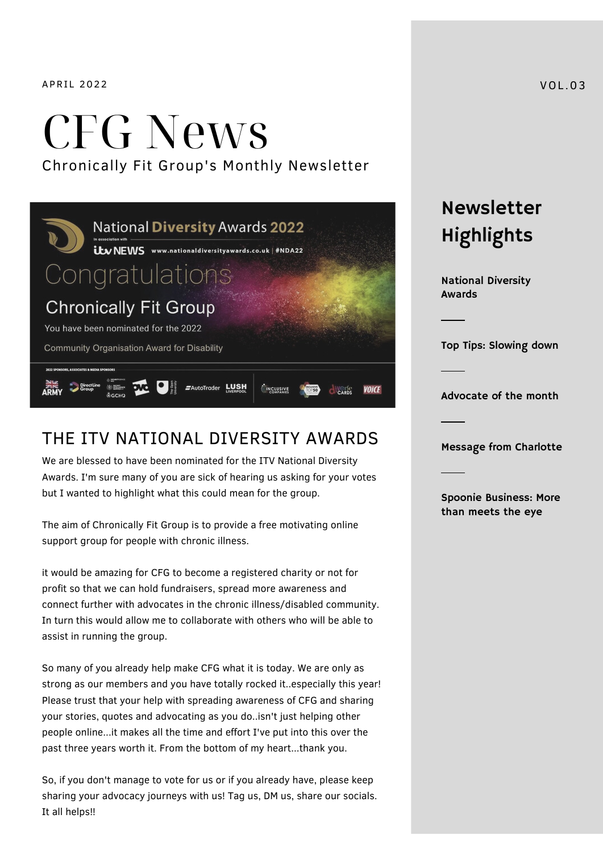APRIL 2022 VOL.03

# CFG News Chronically Fit Group's Monthly Newsletter



#### THE ITV NATIONAL DIVERSITY AWARDS

We are blessed to have been nominated for the ITV National Diversity Awards. I'm sure many of you are sick of hearing us asking for your votes but I wanted to highlight what this could mean for the group.

The aim of Chronically Fit Group is to provide a free motivating online support group for people with chronic illness.

it would be amazing for CFG to become a registered charity or not for profit so that we can hold fundraisers, spread more awareness and connect further with advocates in the chronic illness/disabled community. In turn this would allow me to collaborate with others who will be able to assist in running the group.

So many of you already help make CFG what it is today. We are only as strong as our members and you have totally rocked it..especially this year! Please trust that your help with spreading awareness of CFG and sharing your stories, quotes and advocating as you do..isn't just helping other people online...it makes all the time and effort I've put into this over the past three years worth it. From the bottom of my heart...thank you.

So, if you don't manage to vote for us or if you already have, please keep sharing your advocacy journeys with us! Tag us, DM us, share our socials. It all helps!!

Newsletter Highlights

National Diversity Awards

Top Tips: Slowing down

Advocate of the month

Message from Charlotte

Spoonie Business: More than meets the eye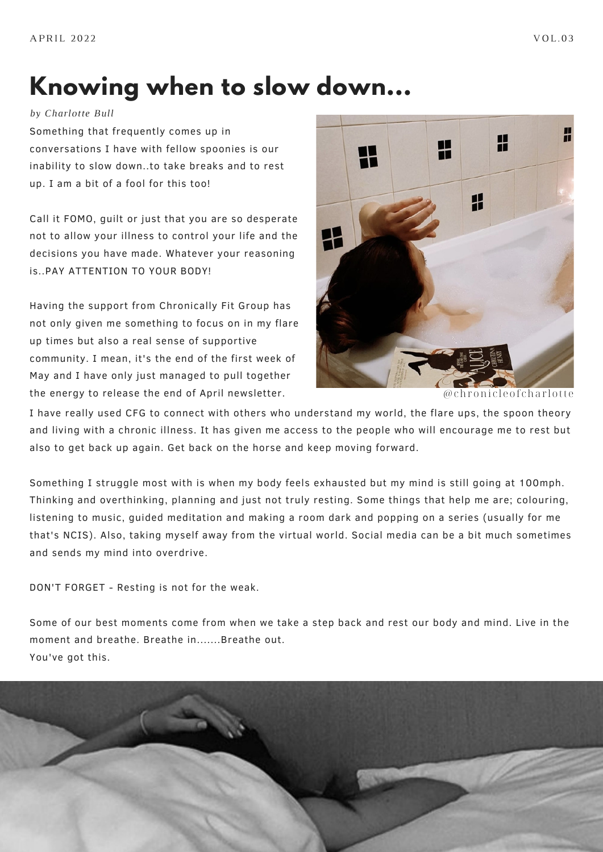### **Knowing when to slow down...**

*by Charlotte Bull*

Something that frequently comes up in conversations I have with fellow spoonies is our inability to slow down..to take breaks and to rest up. I am a bit of a fool for this too!

Call it FOMO, guilt or just that you are so desperate not to allow your illness to control your life and the decisions you have made. Whatever your reasoning is..PAY ATTENTION TO YOUR BODY!

Having the support from Chronically Fit Group has not only given me something to focus on in my flare up times but also a real sense of supportive community. I mean, it's the end of the first week of May and I have only just managed to pull together the energy to release the end of April newsletter.  $@chronic le of chartotte$ 



I have really used CFG to connect with others who understand my world, the flare ups, the spoon theory and living with a chronic illness. It has given me access to the people who will encourage me to rest but also to get back up again. Get back on the horse and keep moving forward.

Something I struggle most with is when my body feels exhausted but my mind is still going at 100mph. Thinking and overthinking, planning and just not truly resting. Some things that help me are; colouring, listening to music, guided meditation and making a room dark and popping on a series (usually for me that's NCIS). Also, taking myself away from the virtual world. Social media can be a bit much sometimes and sends my mind into overdrive.

DON'T FORGET - Resting is not for the weak.

Some of our best moments come from when we take a step back and rest our body and mind. Live in the moment and breathe. Breathe in.......Breathe out. You've got this.